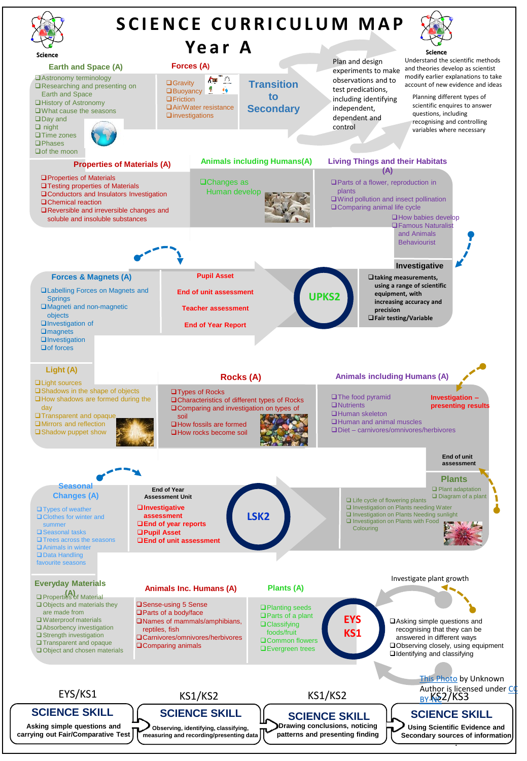